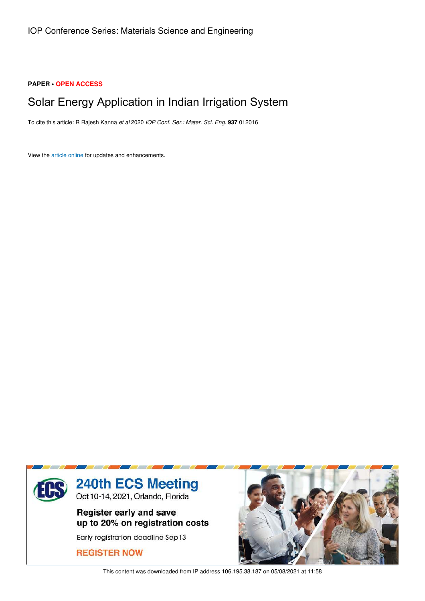## **PAPER • OPEN ACCESS**

# Solar Energy Application in Indian Irrigation System

To cite this article: R Rajesh Kanna *et al* 2020 *IOP Conf. Ser.: Mater. Sci. Eng.* **937** 012016

View the article online for updates and enhancements.



This content was downloaded from IP address 106.195.38.187 on 05/08/2021 at 11:58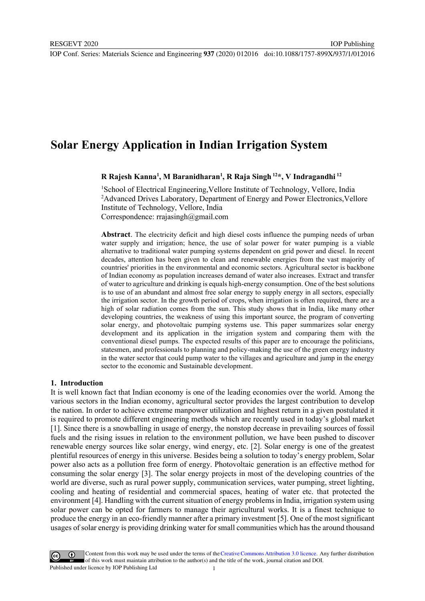# **Solar Energy Application in Indian Irrigation System**

**R Rajesh Kanna<sup>1</sup> , M Baranidharan<sup>1</sup> , R Raja Singh<sup>12</sup>\*, V Indragandhi<sup>12</sup>**

<sup>1</sup>School of Electrical Engineering, Vellore Institute of Technology, Vellore, India <sup>2</sup>Advanced Drives Laboratory, Department of Energy and Power Electronics, Vellore Institute of Technology, Vellore, India Correspondence: rrajasingh@gmail.com

**Abstract**. The electricity deficit and high diesel costs influence the pumping needs of urban water supply and irrigation; hence, the use of solar power for water pumping is a viable alternative to traditional water pumping systems dependent on grid power and diesel. In recent decades, attention has been given to clean and renewable energies from the vast majority of countries' priorities in the environmental and economic sectors. Agricultural sector is backbone of Indian economy as population increases demand of water also increases. Extract and transfer of water to agriculture and drinking is equals high-energy consumption. One of the best solutions is to use of an abundant and almost free solar energy to supply energy in all sectors, especially the irrigation sector. In the growth period of crops, when irrigation is often required, there are a high of solar radiation comes from the sun. This study shows that in India, like many other developing countries, the weakness of using this important source, the program of converting solar energy, and photovoltaic pumping systems use. This paper summarizes solar energy development and its application in the irrigation system and comparing them with the conventional diesel pumps. The expected results of this paper are to encourage the politicians, statesmen, and professionals to planning and policy-making the use of the green energy industry in the water sector that could pump water to the villages and agriculture and jump in the energy sector to the economic and Sustainable development.

#### **1. Introduction**

It is well known fact that Indian economy is one of the leading economies over the world. Among the various sectors in the Indian economy, agricultural sector provides the largest contribution to develop the nation. In order to achieve extreme manpower utilization and highest return in a given postulated it is required to promote different engineering methods which are recently used in today's global market [1]. Since there is a snowballing in usage of energy, the nonstop decrease in prevailing sources of fossil fuels and the rising issues in relation to the environment pollution, we have been pushed to discover renewable energy sources like solar energy, wind energy, etc. [2]. Solar energy is one of the greatest plentiful resources of energy in this universe. Besides being a solution to today's energy problem, Solar power also acts as a pollution free form of energy. Photovoltaic generation is an effective method for consuming the solar energy [3]. The solar energy projects in most of the developing countries of the world are diverse, such as rural power supply, communication services, water pumping, street lighting, cooling and heating of residential and commercial spaces, heating of water etc. that protected the environment [4]. Handling with the current situation of energy problems in India, irrigation system using solar power can be opted for farmers to manage their agricultural works. It is a finest technique to produce the energy in an eco-friendly manner after a primary investment [5]. One of the most significant usages of solar energy is providing drinking water for small communities which has the around thousand

Content from this work may be used under the terms of theCreative Commons Attribution 3.0 licence. Any further distribution of this work must maintain attribution to the author(s) and the title of the work, journal citation and DOI. Published under licence by IOP Publishing Ltd 1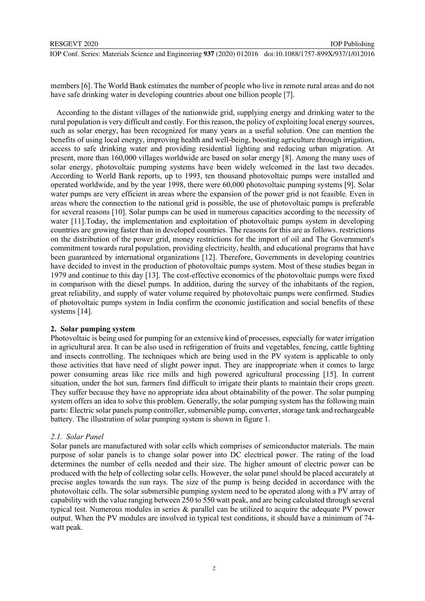members [6]. The World Bank estimates the number of people who live in remote rural areas and do not have safe drinking water in developing countries about one billion people [7].

 According to the distant villages of the nationwide grid, supplying energy and drinking water to the rural population is very difficult and costly. For this reason, the policy of exploiting local energy sources, such as solar energy, has been recognized for many years as a useful solution. One can mention the benefits of using local energy, improving health and well-being, boosting agriculture through irrigation, access to safe drinking water and providing residential lighting and reducing urban migration. At present, more than 160,000 villages worldwide are based on solar energy [8]. Among the many uses of solar energy, photovoltaic pumping systems have been widely welcomed in the last two decades. According to World Bank reports, up to 1993, ten thousand photovoltaic pumps were installed and operated worldwide, and by the year 1998, there were 60,000 photovoltaic pumping systems [9]. Solar water pumps are very efficient in areas where the expansion of the power grid is not feasible. Even in areas where the connection to the national grid is possible, the use of photovoltaic pumps is preferable for several reasons [10]. Solar pumps can be used in numerous capacities according to the necessity of water [11].Today, the implementation and exploitation of photovoltaic pumps system in developing countries are growing faster than in developed countries. The reasons for this are as follows. restrictions on the distribution of the power grid, money restrictions for the import of oil and The Government's commitment towards rural population, providing electricity, health, and educational programs that have been guaranteed by international organizations [12]. Therefore, Governments in developing countries have decided to invest in the production of photovoltaic pumps system. Most of these studies began in 1979 and continue to this day [13]. The cost-effective economics of the photovoltaic pumps were fixed in comparison with the diesel pumps. In addition, during the survey of the inhabitants of the region, great reliability, and supply of water volume required by photovoltaic pumps were confirmed. Studies of photovoltaic pumps system in India confirm the economic justification and social benefits of these systems [14].

#### **2. Solar pumping system**

Photovoltaic is being used for pumping for an extensive kind of processes, especially for water irrigation in agricultural area. It can be also used in refrigeration of fruits and vegetables, fencing, cattle lighting and insects controlling. The techniques which are being used in the PV system is applicable to only those activities that have need of slight power input. They are inappropriate when it comes to large power consuming areas like rice mills and high powered agricultural processing [15]. In current situation, under the hot sun, farmers find difficult to irrigate their plants to maintain their crops green. They suffer because they have no appropriate idea about obtainability of the power. The solar pumping system offers an idea to solve this problem. Generally, the solar pumping system has the following main parts: Electric solar panels pump controller, submersible pump, converter, storage tank and rechargeable battery. The illustration of solar pumping system is shown in figure 1.

#### *2.1. Solar Panel*

Solar panels are manufactured with solar cells which comprises of semiconductor materials. The main purpose of solar panels is to change solar power into DC electrical power. The rating of the load determines the number of cells needed and their size. The higher amount of electric power can be produced with the help of collecting solar cells. However, the solar panel should be placed accurately at precise angles towards the sun rays. The size of the pump is being decided in accordance with the photovoltaic cells. The solar submersible pumping system need to be operated along with a PV array of capability with the value ranging between 250 to 550 watt peak, and are being calculated through several typical test. Numerous modules in series & parallel can be utilized to acquire the adequate PV power output. When the PV modules are involved in typical test conditions, it should have a minimum of 74 watt peak.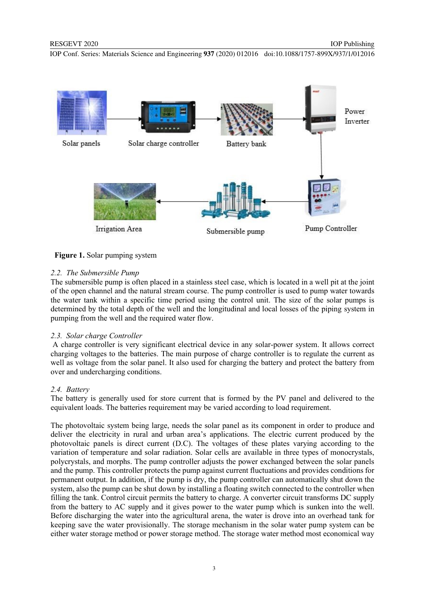

#### **Figure 1.** Solar pumping system

#### *2.2. The Submersible Pump*

The submersible pump is often placed in a stainless steel case, which is located in a well pit at the joint of the open channel and the natural stream course. The pump controller is used to pump water towards the water tank within a specific time period using the control unit. The size of the solar pumps is determined by the total depth of the well and the longitudinal and local losses of the piping system in pumping from the well and the required water flow.

#### *2.3. Solar charge Controller*

A charge controller is very significant electrical device in any solar-power system. It allows correct charging voltages to the batteries. The main purpose of charge controller is to regulate the current as well as voltage from the solar panel. It also used for charging the battery and protect the battery from over and undercharging conditions.

#### *2.4. Battery*

The battery is generally used for store current that is formed by the PV panel and delivered to the equivalent loads. The batteries requirement may be varied according to load requirement.

The photovoltaic system being large, needs the solar panel as its component in order to produce and deliver the electricity in rural and urban area's applications. The electric current produced by the photovoltaic panels is direct current (D.C). The voltages of these plates varying according to the variation of temperature and solar radiation. Solar cells are available in three types of monocrystals, polycrystals, and morphs. The pump controller adjusts the power exchanged between the solar panels and the pump. This controller protects the pump against current fluctuations and provides conditions for permanent output. In addition, if the pump is dry, the pump controller can automatically shut down the system, also the pump can be shut down by installing a floating switch connected to the controller when filling the tank. Control circuit permits the battery to charge. A converter circuit transforms DC supply from the battery to AC supply and it gives power to the water pump which is sunken into the well. Before discharging the water into the agricultural arena, the water is drove into an overhead tank for keeping save the water provisionally. The storage mechanism in the solar water pump system can be either water storage method or power storage method. The storage water method most economical way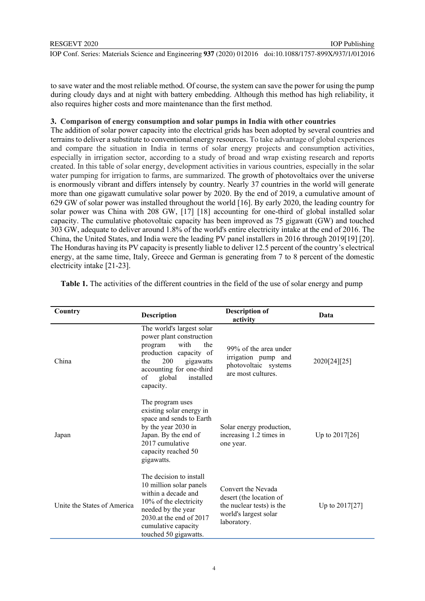to save water and the most reliable method. Of course, the system can save the power for using the pump during cloudy days and at night with battery embedding. Although this method has high reliability, it also requires higher costs and more maintenance than the first method.

### **3. Comparison of energy consumption and solar pumps in India with other countries**

The addition of solar power capacity into the electrical grids has been adopted by several countries and terrains to deliver a substitute to conventional energy resources. To take advantage of global experiences and compare the situation in India in terms of solar energy projects and consumption activities, especially in irrigation sector, according to a study of broad and wrap existing research and reports created. In this table of solar energy, development activities in various countries, especially in the solar water pumping for irrigation to farms, are summarized. The growth of photovoltaics over the universe is enormously vibrant and differs intensely by country. Nearly 37 countries in the world will generate more than one gigawatt cumulative solar power by 2020. By the end of 2019, a cumulative amount of 629 GW of solar power was installed throughout the world [16]. By early 2020, the leading country for solar power was China with 208 GW, [17] [18] accounting for one-third of global installed solar capacity. The cumulative photovoltaic capacity has been improved as 75 gigawatt (GW) and touched 303 GW, adequate to deliver around 1.8% of the world's entire electricity intake at the end of 2016. The China, the United States, and India were the leading PV panel installers in 2016 through 2019[19] [20]. The Honduras having its PV capacity is presently liable to deliver 12.5 percent of the country's electrical energy, at the same time, Italy, Greece and German is generating from 7 to 8 percent of the domestic electricity intake [21-23].

| Country                     | <b>Description</b>                                                                                                                                                                                         | <b>Description of</b><br>activity                                                                                  | Data             |  |  |  |
|-----------------------------|------------------------------------------------------------------------------------------------------------------------------------------------------------------------------------------------------------|--------------------------------------------------------------------------------------------------------------------|------------------|--|--|--|
| China                       | The world's largest solar<br>power plant construction<br>with<br>the<br>program<br>production capacity of<br>200<br>the<br>gigawatts<br>accounting for one-third<br>of<br>global<br>installed<br>capacity. | 99% of the area under<br>irrigation pump and<br>photovoltaic systems<br>are most cultures.                         | 2020[24][25]     |  |  |  |
| Japan                       | The program uses<br>existing solar energy in<br>space and sends to Earth<br>by the year 2030 in<br>Japan. By the end of<br>2017 cumulative<br>capacity reached 50<br>gigawatts.                            | Solar energy production,<br>increasing 1.2 times in<br>one year.                                                   | Up to $2017[26]$ |  |  |  |
| Unite the States of America | The decision to install<br>10 million solar panels<br>within a decade and<br>10% of the electricity<br>needed by the year<br>2030.at the end of 2017<br>cumulative capacity<br>touched 50 gigawatts.       | Convert the Nevada<br>desert (the location of<br>the nuclear tests) is the<br>world's largest solar<br>laboratory. | Up to 2017[27]   |  |  |  |

**Table 1.** The activities of the different countries in the field of the use of solar energy and pump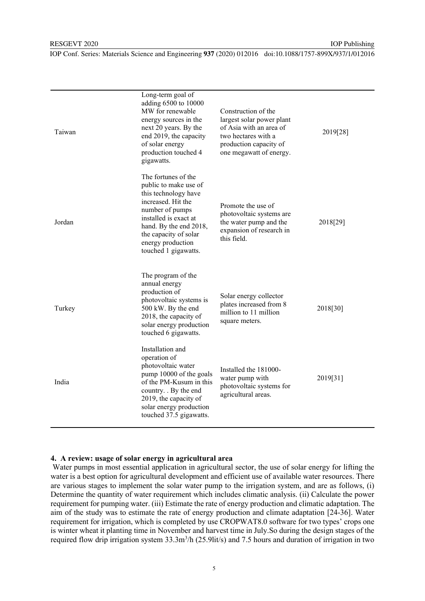IOP Publishing

IOP Conf. Series: Materials Science and Engineering **937** (2020) 012016 doi:10.1088/1757-899X/937/1/012016

| Taiwan | Long-term goal of<br>adding 6500 to 10000<br>MW for renewable<br>energy sources in the<br>next 20 years. By the<br>end 2019, the capacity<br>of solar energy<br>production touched 4<br>gigawatts.                                     | Construction of the<br>largest solar power plant<br>of Asia with an area of<br>two hectares with a<br>production capacity of<br>one megawatt of energy. | 2019[28] |
|--------|----------------------------------------------------------------------------------------------------------------------------------------------------------------------------------------------------------------------------------------|---------------------------------------------------------------------------------------------------------------------------------------------------------|----------|
| Jordan | The fortunes of the<br>public to make use of<br>this technology have<br>increased. Hit the<br>number of pumps<br>installed is exact at<br>hand. By the end 2018,<br>the capacity of solar<br>energy production<br>touched 1 gigawatts. | Promote the use of<br>photovoltaic systems are<br>the water pump and the<br>expansion of research in<br>this field.                                     | 2018[29] |
| Turkey | The program of the<br>annual energy<br>production of<br>photovoltaic systems is<br>500 kW. By the end<br>2018, the capacity of<br>solar energy production<br>touched 6 gigawatts.                                                      | Solar energy collector<br>plates increased from 8<br>million to 11 million<br>square meters.                                                            | 2018[30] |
| India  | Installation and<br>operation of<br>photovoltaic water<br>pump 10000 of the goals<br>of the PM-Kusum in this<br>country. . By the end<br>2019, the capacity of<br>solar energy production<br>touched 37.5 gigawatts.                   | Installed the 181000-<br>water pump with<br>photovoltaic systems for<br>agricultural areas.                                                             | 2019[31] |

#### **4. A review: usage of solar energy in agricultural area**

Water pumps in most essential application in agricultural sector, the use of solar energy for lifting the water is a best option for agricultural development and efficient use of available water resources. There are various stages to implement the solar water pump to the irrigation system, and are as follows, (i) Determine the quantity of water requirement which includes climatic analysis. (ii) Calculate the power requirement for pumping water. (iii) Estimate the rate of energy production and climatic adaptation. The aim of the study was to estimate the rate of energy production and climate adaptation [24-36]. Water requirement for irrigation, which is completed by use CROPWAT8.0 software for two types' crops one is winter wheat it planting time in November and harvest time in July.So during the design stages of the required flow drip irrigation system 33.3m<sup>3</sup>/h (25.9lit/s) and 7.5 hours and duration of irrigation in two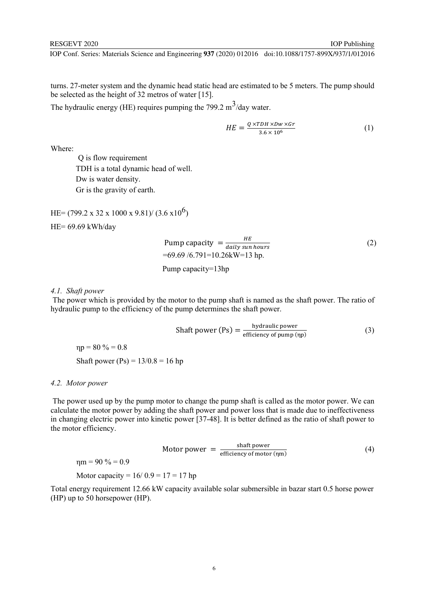turns. 27-meter system and the dynamic head static head are estimated to be 5 meters. The pump should be selected as the height of 32 metros of water [15].

The hydraulic energy (HE) requires pumping the 799.2 m<sup>3</sup>/day water.

$$
HE = \frac{Q \times TDH \times Dw \times Gr}{3.6 \times 10^6} \tag{1}
$$

Where:

 Q is flow requirement TDH is a total dynamic head of well. Dw is water density.

Gr is the gravity of earth.

HE= (799.2 x 32 x 1000 x 9.81)/ (3.6 x10<sup>6</sup>)

HE= 69.69 kWh/day

Pump capacity = 
$$
\frac{HE}{daily \, sun \, hours}
$$

\n
$$
= 69.69 / 6.791 = 10.26 \, \text{kW} = 13 \, \text{hp}.
$$

\n(2)

Pump capacity=13hp

#### *4.1. Shaft power*

The power which is provided by the motor to the pump shaft is named as the shaft power. The ratio of hydraulic pump to the efficiency of the pump determines the shaft power.

$$
Shaft power (Ps) = \frac{hydraulic power}{efficiency of pump(np)} \tag{3}
$$

 $np = 80 \% = 0.8$ Shaft power (Ps) =  $13/0.8 = 16$  hp

#### *4.2. Motor power*

 The power used up by the pump motor to change the pump shaft is called as the motor power. We can calculate the motor power by adding the shaft power and power loss that is made due to ineffectiveness in changing electric power into kinetic power [37-48]. It is better defined as the ratio of shaft power to the motor efficiency.

$$
Motor power = \frac{shaft power}{efficiency of motor (nm)}
$$
(4)

$$
\eta m = 90\% = 0.9
$$

Motor capacity =  $16/0.9 = 17 = 17$  hp

Total energy requirement 12.66 kW capacity available solar submersible in bazar start 0.5 horse power (HP) up to 50 horsepower (HP).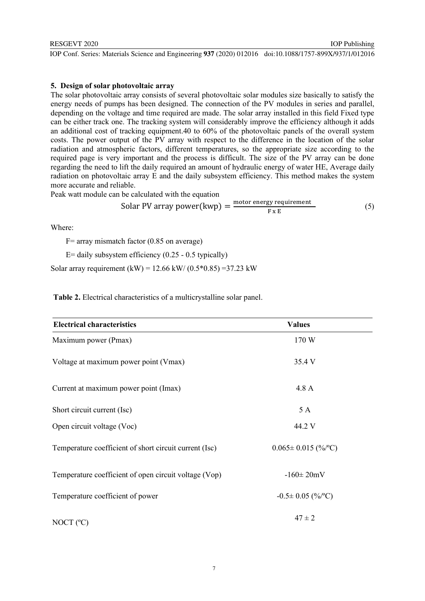#### **5. Design of solar photovoltaic array**

The solar photovoltaic array consists of several photovoltaic solar modules size basically to satisfy the energy needs of pumps has been designed. The connection of the PV modules in series and parallel, depending on the voltage and time required are made. The solar array installed in this field Fixed type can be either track one. The tracking system will considerably improve the efficiency although it adds an additional cost of tracking equipment.40 to 60% of the photovoltaic panels of the overall system costs. The power output of the PV array with respect to the difference in the location of the solar radiation and atmospheric factors, different temperatures, so the appropriate size according to the required page is very important and the process is difficult. The size of the PV array can be done regarding the need to lift the daily required an amount of hydraulic energy of water HE, Average daily radiation on photovoltaic array E and the daily subsystem efficiency. This method makes the system more accurate and reliable.

Peak watt module can be calculated with the equation

$$
Solar PV array power(kwp) = \frac{motor energy requirement}{Fx E}
$$
 (5)

IOP Publishing

Where:

 $F=$  array mismatch factor (0.85 on average)

 $E=$  daily subsystem efficiency (0.25 - 0.5 typically)

Solar array requirement  $(kW) = 12.66$  kW/  $(0.5*0.85) = 37.23$  kW

**Table 2.** Electrical characteristics of a multicrystalline solar panel.

| <b>Electrical characteristics</b>                      | <b>Values</b>            |  |  |  |  |  |
|--------------------------------------------------------|--------------------------|--|--|--|--|--|
| Maximum power (Pmax)                                   | 170 W                    |  |  |  |  |  |
| Voltage at maximum power point (Vmax)                  | 35.4 V                   |  |  |  |  |  |
| Current at maximum power point (Imax)                  | 4.8A                     |  |  |  |  |  |
| Short circuit current (Isc)                            | 5 A                      |  |  |  |  |  |
| Open circuit voltage (Voc)                             | 44.2 V                   |  |  |  |  |  |
| Temperature coefficient of short circuit current (Isc) | $0.065 \pm 0.015$ (%/°C) |  |  |  |  |  |
| Temperature coefficient of open circuit voltage (Vop)  | $-160 \pm 20$ mV         |  |  |  |  |  |
| Temperature coefficient of power                       | $-0.5\pm0.05$ (%/°C)     |  |  |  |  |  |
| NOCT $(^{\circ}C)$                                     | $47 \pm 2$               |  |  |  |  |  |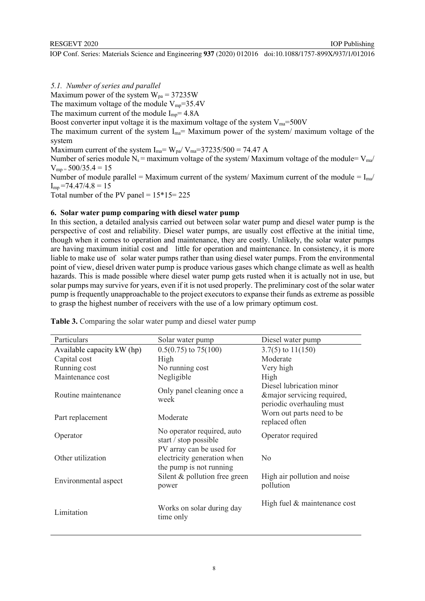*5.1. Number of series and parallel* 

Maximum power of the system  $W_{pa} = 37235W$ 

The maximum voltage of the module  $V_{mp}$ =35.4V

The maximum current of the module  $I_{mp} = 4.8A$ 

Boost converter input voltage it is the maximum voltage of the system  $V_{ma}$ =500V

The maximum current of the system  $I_{ma}$  Maximum power of the system/ maximum voltage of the system

Maximum current of the system  $I_{ma} = W_{pa} / V_{ma} = 37235/500 = 74.47$  A

Number of series module N<sub>s</sub> = maximum voltage of the system/ Maximum voltage of the module=  $V_{ma}$ /  $V_{mp} = 500/35.4 = 15$ 

Number of module parallel = Maximum current of the system/ Maximum current of the module =  $I_{\text{ma}}/$  $I_{mp}$ =74.47/4.8 = 15

Total number of the PV panel =  $15*15=225$ 

#### **6. Solar water pump comparing with diesel water pump**

In this section, a detailed analysis carried out between solar water pump and diesel water pump is the perspective of cost and reliability. Diesel water pumps, are usually cost effective at the initial time, though when it comes to operation and maintenance, they are costly. Unlikely, the solar water pumps are having maximum initial cost and little for operation and maintenance. In consistency, it is more liable to make use of solar water pumps rather than using diesel water pumps. From the environmental point of view, diesel driven water pump is produce various gases which change climate as well as health hazards. This is made possible where diesel water pump gets rusted when it is actually not in use, but solar pumps may survive for years, even if it is not used properly. The preliminary cost of the solar water pump is frequently unapproachable to the project executors to expanse their funds as extreme as possible to grasp the highest number of receivers with the use of a low primary optimum cost.

| Particulars                | Solar water pump                                                                   | Diesel water pump                                                                   |
|----------------------------|------------------------------------------------------------------------------------|-------------------------------------------------------------------------------------|
| Available capacity kW (hp) | $0.5(0.75)$ to $75(100)$                                                           | $3.7(5)$ to $11(150)$                                                               |
| Capital cost               | High                                                                               | Moderate                                                                            |
| Running cost               | No running cost                                                                    | Very high                                                                           |
| Maintenance cost           | Negligible                                                                         | High                                                                                |
| Routine maintenance        | Only panel cleaning once a<br>week                                                 | Diesel lubrication minor<br>&major servicing required,<br>periodic overhauling must |
| Part replacement           | Moderate                                                                           | Worn out parts need to be<br>replaced often                                         |
| Operator                   | No operator required, auto<br>start / stop possible                                | Operator required                                                                   |
| Other utilization          | PV array can be used for<br>electricity generation when<br>the pump is not running | N <sub>0</sub>                                                                      |
| Environmental aspect       | Silent & pollution free green<br>power                                             | High air pollution and noise<br>pollution                                           |
| Limitation                 | Works on solar during day<br>time only                                             | High fuel & maintenance cost                                                        |

**Table 3.** Comparing the solar water pump and diesel water pump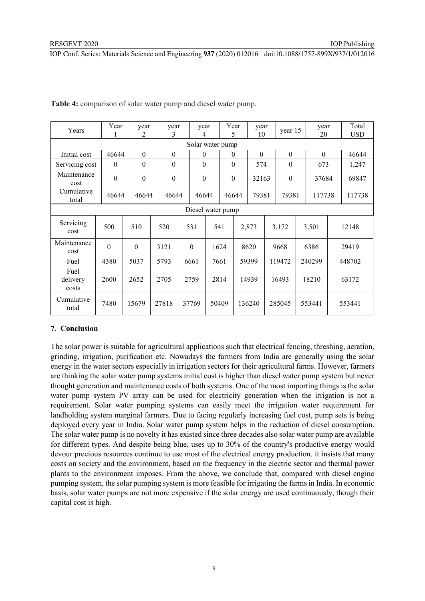| Years                     | Year             | year<br>2        | year<br>3        |                  | year<br>4        |          |       | Year<br>5        | year<br>10 |       | year 15          |  | year<br>20 |        | Total<br><b>USD</b> |  |
|---------------------------|------------------|------------------|------------------|------------------|------------------|----------|-------|------------------|------------|-------|------------------|--|------------|--------|---------------------|--|
| Solar water pump          |                  |                  |                  |                  |                  |          |       |                  |            |       |                  |  |            |        |                     |  |
| Initial cost              | 46644            | $\boldsymbol{0}$ |                  | $\boldsymbol{0}$ |                  | $\theta$ |       | $\theta$         | $\Omega$   |       | $\theta$         |  | $\theta$   |        | 46644               |  |
| Servicing cost            | $\boldsymbol{0}$ | $\boldsymbol{0}$ | $\boldsymbol{0}$ | $\boldsymbol{0}$ |                  |          |       | $\mathbf{0}$     | 574        |       | $\boldsymbol{0}$ |  | 673        |        | 1,247               |  |
| Maintenance<br>cost       | $\boldsymbol{0}$ | $\boldsymbol{0}$ | $\boldsymbol{0}$ |                  | $\boldsymbol{0}$ |          |       | $\boldsymbol{0}$ | 32163      |       | $\boldsymbol{0}$ |  | 37684      |        | 69847               |  |
| Cumulative<br>total       | 46644            | 46644            | 46644            |                  |                  | 46644    |       | 46644            | 79381      |       | 79381            |  | 117738     |        | 117738              |  |
| Diesel water pump         |                  |                  |                  |                  |                  |          |       |                  |            |       |                  |  |            |        |                     |  |
| Servicing<br>cost         | 500              | 510              | 520              |                  | 531              | 541      |       | 2,873            |            |       | 3,172            |  | 3,501      |        | 12148               |  |
| Maintenance<br>cost       | $\mathbf{0}$     | $\theta$         | 3121             |                  | $\theta$         |          | 1624  |                  | 8620       | 9668  |                  |  | 6386       | 29419  |                     |  |
| Fuel                      | 4380             | 5037             | 5793             |                  | 6661             | 7661     |       |                  | 59399      |       | 119472           |  | 240299     |        | 448702              |  |
| Fuel<br>delivery<br>costs | 2600             | 2652             | 2705             |                  | 2759             | 2814     |       | 14939            |            | 16493 |                  |  | 18210      |        | 63172               |  |
| Cumulative<br>total       | 7480             | 15679            | 27818            |                  | 37769            |          | 50409 | 136240           |            |       | 285045<br>553441 |  |            | 553441 |                     |  |

**Table 4:** comparison of solar water pump and diesel water pump.

#### **7. Conclusion**

The solar power is suitable for agricultural applications such that electrical fencing, threshing, aeration, grinding, irrigation, purification etc. Nowadays the farmers from India are generally using the solar energy in the water sectors especially in irrigation sectors for their agricultural farms. However, farmers are thinking the solar water pump systems initial cost is higher than diesel water pump system but never thought generation and maintenance costs of both systems. One of the most importing things is the solar water pump system PV array can be used for electricity generation when the irrigation is not a requirement. Solar water pumping systems can easily meet the irrigation water requirement for landholding system marginal farmers. Due to facing regularly increasing fuel cost, pump sets is being deployed every year in India. Solar water pump system helps in the reduction of diesel consumption. The solar water pump is no novelty it has existed since three decades also solar water pump are available for different types. And despite being blue, uses up to 30% of the country's productive energy would devour precious resources continue to use most of the electrical energy production. it insists that many costs on society and the environment, based on the frequency in the electric sector and thermal power plants to the environment imposes. From the above, we conclude that, compared with diesel engine pumping system, the solar pumping system is more feasible for irrigating the farms in India. In economic basis, solar water pumps are not more expensive if the solar energy are used continuously, though their capital cost is high.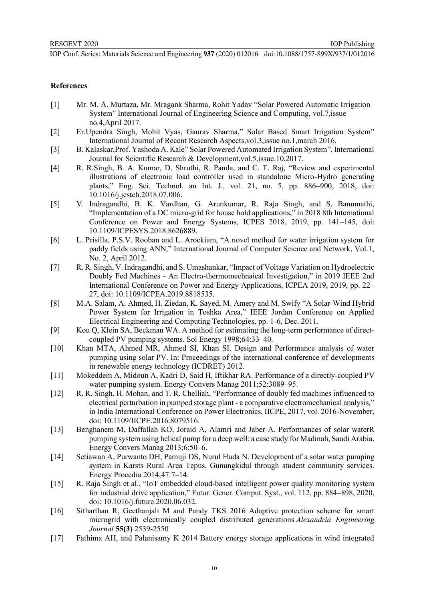#### **References**

- [1] Mr. M. A. Murtaza, Mr. Mragank Sharma, Rohit Yadav "Solar Powered Automatic Irrigation System" International Journal of Engineering Science and Computing, vol.7,issue no.4,April 2017.
- [2] Er.Upendra Singh, Mohit Vyas, Gaurav Sharma," Solar Based Smart Irrigation System" International Journal of Recent Research Aspects,vol.3,issue no.1,march 2016.
- [3] B. Kalaskar,Prof. Yashoda A. Kale" Solar Powered Automated Irrigation System", International Journal for Scientific Research & Development,vol.5,issue.10,2017.
- [4] R. R.Singh, B. A. Kumar, D. Shruthi, R. Panda, and C. T. Raj, "Review and experimental illustrations of electronic load controller used in standalone Micro-Hydro generating plants," Eng. Sci. Technol. an Int. J., vol. 21, no. 5, pp. 886–900, 2018, doi: 10.1016/j.jestch.2018.07.006.
- [5] V. Indragandhi, B. K. Vardhan, G. Arunkumar, R. Raja Singh, and S. Banumathi, "Implementation of a DC micro-grid for house hold applications," in 2018 8th International Conference on Power and Energy Systems, ICPES 2018, 2019, pp. 141–145, doi: 10.1109/ICPESYS.2018.8626889.
- [6] L. Prisilla, P.S.V. Rooban and L. Arockiam, "A novel method for water irrigation system for paddy fields using ANN," International Journal of Computer Science and Network, Vol.1, No. 2, April 2012.
- [7] R. R. Singh, V. Indragandhi, and S. Umashankar, "Impact of Voltage Variation on Hydroelectric Doubly Fed Machines - An Electro-thermomechnaical Investigation," in 2019 IEEE 2nd International Conference on Power and Energy Applications, ICPEA 2019, 2019, pp. 22– 27, doi: 10.1109/ICPEA.2019.8818535.
- [8] M.A. Salam, A. Ahmed, H. Ziedan, K. Sayed, M. Amery and M. Swify "A Solar-Wind Hybrid Power System for Irrigation in Toshka Area," IEEE Jordan Conference on Applied Electrical Engineering and Computing Technologies, pp. 1-6, Dec. 2011.
- [9] Kou Q, Klein SA, Beckman WA. A method for estimating the long-term performance of directcoupled PV pumping systems. Sol Energy 1998;64:33–40.
- [10] Khan MTA, Ahmed MR, Ahmed SI, Khan SI. Design and Performance analysis of water pumping using solar PV. In: Proceedings of the international conference of developments in renewable energy technology (ICDRET) 2012.
- [11] Mokeddem A, Midoun A, Kadri D, Said H, Iftikhar RA. Performance of a directly-coupled PV water pumping system. Energy Convers Manag 2011;52:3089–95.
- [12] R. R. Singh, H. Mohan, and T. R. Chelliah, "Performance of doubly fed machines influenced to electrical perturbation in pumped storage plant - a comparative electromechanical analysis," in India International Conference on Power Electronics, IICPE, 2017, vol. 2016-November, doi: 10.1109/IICPE.2016.8079516.
- [13] Benghanem M, Daffallah KO, Joraid A, Alamri and Jaber A. Performances of solar waterR pumping system using helical pump for a deep well: a case study for Madinah, Saudi Arabia. Energy Convers Manag 2013;6:50–6.
- [14] Setiawan A, Purwanto DH, Pamuji DS, Nurul Huda N. Development of a solar water pumping system in Karsts Rural Area Tepus, Gunungkidul through student community services. Energy Procedia 2014;47:7–14.
- [15] R. Raja Singh et al., "IoT embedded cloud-based intelligent power quality monitoring system for industrial drive application," Futur. Gener. Comput. Syst., vol. 112, pp. 884–898, 2020, doi: 10.1016/j.future.2020.06.032.
- [16] Sitharthan R, Geethanjali M and Pandy TKS 2016 Adaptive protection scheme for smart microgrid with electronically coupled distributed generations *Alexandria Engineering Journal* **55(3)** 2539-2550
- [17] Fathima AH, and Palanisamy K 2014 Battery energy storage applications in wind integrated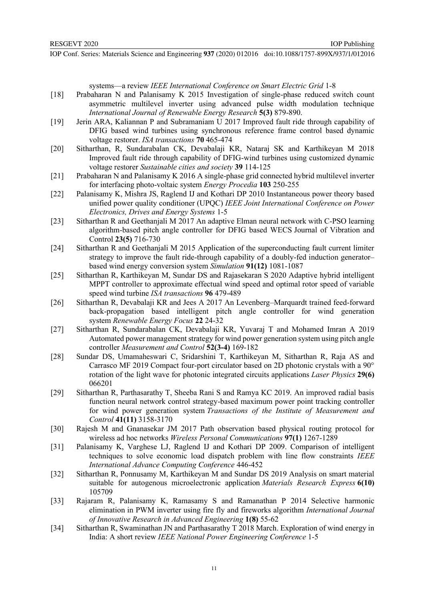systems—a review *IEEE International Conference on Smart Electric Grid* 1-8

- [18] Prabaharan N and Palanisamy K 2015 Investigation of single-phase reduced switch count asymmetric multilevel inverter using advanced pulse width modulation technique *International Journal of Renewable Energy Research* **5(3)** 879-890.
- [19] Jerin ARA, Kaliannan P and Subramaniam U 2017 Improved fault ride through capability of DFIG based wind turbines using synchronous reference frame control based dynamic voltage restorer. *ISA transactions* **70** 465-474
- [20] Sitharthan, R, Sundarabalan CK, Devabalaji KR, Nataraj SK and Karthikeyan M 2018 Improved fault ride through capability of DFIG-wind turbines using customized dynamic voltage restorer *Sustainable cities and society* **39** 114-125
- [21] Prabaharan N and Palanisamy K 2016 A single-phase grid connected hybrid multilevel inverter for interfacing photo-voltaic system *Energy Procedia* **103** 250-255
- [22] Palanisamy K, Mishra JS, Raglend IJ and Kothari DP 2010 Instantaneous power theory based unified power quality conditioner (UPQC) *IEEE Joint International Conference on Power Electronics, Drives and Energy Systems* 1-5
- [23] Sitharthan R and Geethanjali M 2017 An adaptive Elman neural network with C-PSO learning algorithm-based pitch angle controller for DFIG based WECS Journal of Vibration and Control **23(5)** 716-730
- [24] Sitharthan R and Geethanjali M 2015 Application of the superconducting fault current limiter strategy to improve the fault ride-through capability of a doubly-fed induction generator– based wind energy conversion system *Simulation* **91(12)** 1081-1087
- [25] Sitharthan R, Karthikeyan M, Sundar DS and Rajasekaran S 2020 Adaptive hybrid intelligent MPPT controller to approximate effectual wind speed and optimal rotor speed of variable speed wind turbine *ISA transactions* **96** 479-489
- [26] Sitharthan R, Devabalaji KR and Jees A 2017 An Levenberg–Marquardt trained feed-forward back-propagation based intelligent pitch angle controller for wind generation system *Renewable Energy Focus* **22** 24-32
- [27] Sitharthan R, Sundarabalan CK, Devabalaji KR, Yuvaraj T and Mohamed Imran A 2019 Automated power management strategy for wind power generation system using pitch angle controller *Measurement and Control* **52(3-4)** 169-182
- [28] Sundar DS, Umamaheswari C, Sridarshini T, Karthikeyan M, Sitharthan R, Raja AS and Carrasco MF 2019 Compact four-port circulator based on 2D photonic crystals with a 90° rotation of the light wave for photonic integrated circuits applications *Laser Physics* **29(6)** 066201
- [29] Sitharthan R, Parthasarathy T, Sheeba Rani S and Ramya KC 2019. An improved radial basis function neural network control strategy-based maximum power point tracking controller for wind power generation system *Transactions of the Institute of Measurement and Control* **41(11)** 3158-3170
- [30] Rajesh M and Gnanasekar JM 2017 Path observation based physical routing protocol for wireless ad hoc networks *Wireless Personal Communications* **97(1)** 1267-1289
- [31] Palanisamy K, Varghese LJ, Raglend IJ and Kothari DP 2009. Comparison of intelligent techniques to solve economic load dispatch problem with line flow constraints *IEEE International Advance Computing Conference* 446-452
- [32] Sitharthan R, Ponnusamy M, Karthikeyan M and Sundar DS 2019 Analysis on smart material suitable for autogenous microelectronic application *Materials Research Express* **6(10)** 105709
- [33] Rajaram R, Palanisamy K, Ramasamy S and Ramanathan P 2014 Selective harmonic elimination in PWM inverter using fire fly and fireworks algorithm *International Journal of Innovative Research in Advanced Engineering* **1(8)** 55-62
- [34] Sitharthan R, Swaminathan JN and Parthasarathy T 2018 March. Exploration of wind energy in India: A short review *IEEE National Power Engineering Conference* 1-5